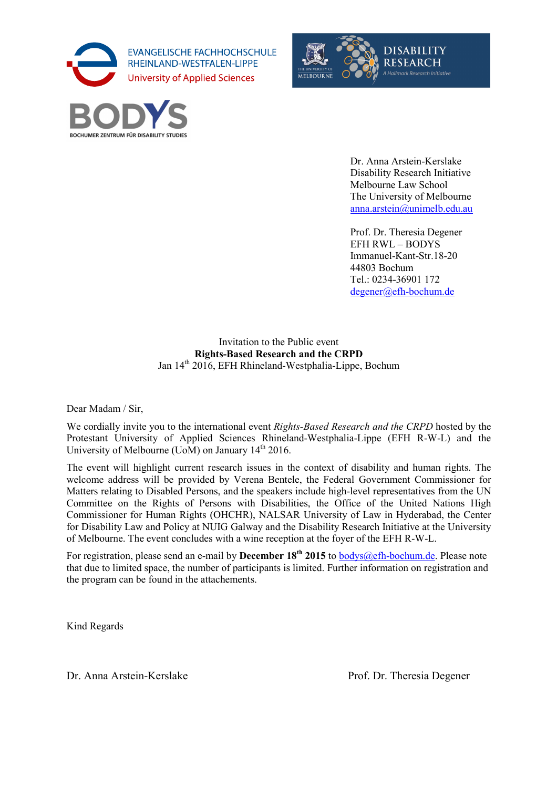

**BOCHUMER ZENTRUM FÜR DISABILITY** 



Dr. Anna Arstein-Kerslake Disability Research Initiative Melbourne Law School The University of Melbourne anna.arstein@unimelb.edu.au

Prof. Dr. Theresia Degener EFH RWL – BODYS Immanuel-Kant-Str.18-20 44803 Bochum Tel.: 0234-36901 172 degener@efh-bochum.de

## Invitation to the Public event **Rights-Based Research and the CRPD** Jan 14<sup>th</sup> 2016, EFH Rhineland-Westphalia-Lippe, Bochum

Dear Madam / Sir,

We cordially invite you to the international event *Rights-Based Research and the CRPD* hosted by the Protestant University of Applied Sciences Rhineland-Westphalia-Lippe (EFH R-W-L) and the University of Melbourne (UoM) on January  $14<sup>th</sup> 2016$ .

The event will highlight current research issues in the context of disability and human rights. The welcome address will be provided by Verena Bentele, the Federal Government Commissioner for Matters relating to Disabled Persons, and the speakers include high-level representatives from the UN Committee on the Rights of Persons with Disabilities, the Office of the United Nations High Commissioner for Human Rights (OHCHR), NALSAR University of Law in Hyderabad, the Center for Disability Law and Policy at NUIG Galway and the Disability Research Initiative at the University of Melbourne. The event concludes with a wine reception at the foyer of the EFH R-W-L.

For registration, please send an e-mail by **December 18<sup>th</sup>** 2015 to bodys (@efh-bochum.de. Please note that due to limited space, the number of participants is limited. Further information on registration and the program can be found in the attachements.

Kind Regards

Dr. Anna Arstein-Kerslake Prof. Dr. Theresia Degener